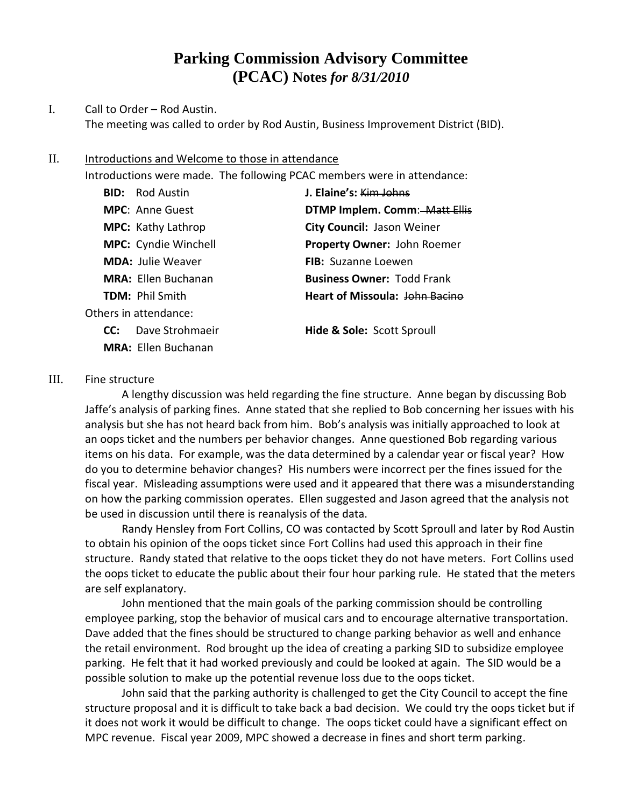## **Parking Commission Advisory Committee (PCAC) Notes** *for 8/31/2010*

## I. Call to Order – Rod Austin. The meeting was called to order by Rod Austin, Business Improvement District (BID).

## II. Introductions and Welcome to those in attendance

Introductions were made. The following PCAC members were in attendance:

|                       | <b>BID:</b> Rod Austin      | J. Elaine's: Kim Johns                |
|-----------------------|-----------------------------|---------------------------------------|
|                       | <b>MPC: Anne Guest</b>      | DTMP Implem. Comm: Matt Ellis         |
|                       | <b>MPC:</b> Kathy Lathrop   | City Council: Jason Weiner            |
|                       | <b>MPC:</b> Cyndie Winchell | Property Owner: John Roemer           |
|                       | <b>MDA:</b> Julie Weaver    | <b>FIB:</b> Suzanne Loewen            |
|                       | <b>MRA: Ellen Buchanan</b>  | <b>Business Owner: Todd Frank</b>     |
|                       | <b>TDM: Phil Smith</b>      | Heart of Missoula: John Bacino        |
| Others in attendance: |                             |                                       |
| CC:                   | Dave Strohmaeir             | <b>Hide &amp; Sole: Scott Sproull</b> |
|                       | <b>MRA:</b> Ellen Buchanan  |                                       |

## III. Fine structure

A lengthy discussion was held regarding the fine structure. Anne began by discussing Bob Jaffe's analysis of parking fines. Anne stated that she replied to Bob concerning her issues with his analysis but she has not heard back from him. Bob's analysis was initially approached to look at an oops ticket and the numbers per behavior changes. Anne questioned Bob regarding various items on his data. For example, was the data determined by a calendar year or fiscal year? How do you to determine behavior changes? His numbers were incorrect per the fines issued for the fiscal year. Misleading assumptions were used and it appeared that there was a misunderstanding on how the parking commission operates. Ellen suggested and Jason agreed that the analysis not be used in discussion until there is reanalysis of the data.

Randy Hensley from Fort Collins, CO was contacted by Scott Sproull and later by Rod Austin to obtain his opinion of the oops ticket since Fort Collins had used this approach in their fine structure. Randy stated that relative to the oops ticket they do not have meters. Fort Collins used the oops ticket to educate the public about their four hour parking rule. He stated that the meters are self explanatory.

John mentioned that the main goals of the parking commission should be controlling employee parking, stop the behavior of musical cars and to encourage alternative transportation. Dave added that the fines should be structured to change parking behavior as well and enhance the retail environment. Rod brought up the idea of creating a parking SID to subsidize employee parking. He felt that it had worked previously and could be looked at again. The SID would be a possible solution to make up the potential revenue loss due to the oops ticket.

John said that the parking authority is challenged to get the City Council to accept the fine structure proposal and it is difficult to take back a bad decision. We could try the oops ticket but if it does not work it would be difficult to change. The oops ticket could have a significant effect on MPC revenue. Fiscal year 2009, MPC showed a decrease in fines and short term parking.